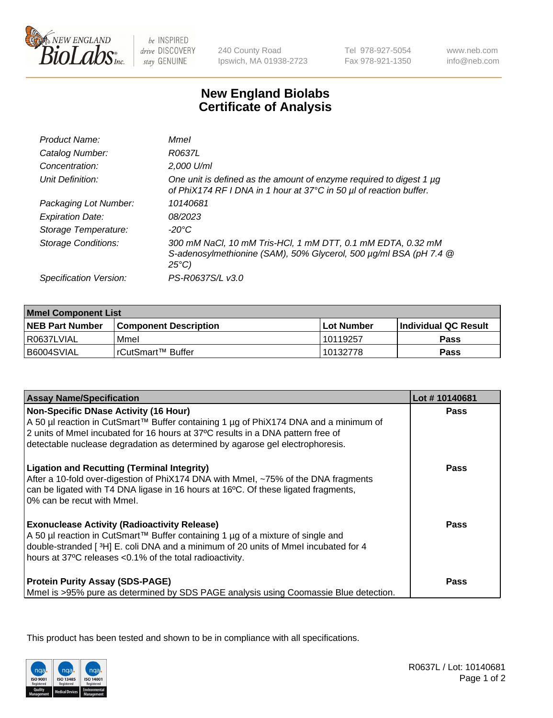

be INSPIRED drive DISCOVERY stay GENUINE

240 County Road Ipswich, MA 01938-2723 Tel 978-927-5054 Fax 978-921-1350

www.neb.com info@neb.com

## **New England Biolabs Certificate of Analysis**

| <b>Mmel</b>                                                                                                                                         |
|-----------------------------------------------------------------------------------------------------------------------------------------------------|
| R0637L                                                                                                                                              |
| 2,000 U/ml                                                                                                                                          |
| One unit is defined as the amount of enzyme required to digest 1 µg<br>of PhiX174 RF I DNA in 1 hour at 37°C in 50 µl of reaction buffer.           |
| 10140681                                                                                                                                            |
| 08/2023                                                                                                                                             |
| -20°C                                                                                                                                               |
| 300 mM NaCl, 10 mM Tris-HCl, 1 mM DTT, 0.1 mM EDTA, 0.32 mM<br>S-adenosylmethionine (SAM), 50% Glycerol, 500 µg/ml BSA (pH 7.4 @<br>$25^{\circ}C$ ) |
| PS-R0637S/L v3.0                                                                                                                                    |
|                                                                                                                                                     |

| <b>Mmel Component List</b> |                              |                   |                       |  |
|----------------------------|------------------------------|-------------------|-----------------------|--|
| <b>NEB Part Number</b>     | <b>Component Description</b> | <b>Lot Number</b> | ∣Individual QC Result |  |
| R0637LVIAL                 | Mmel                         | 10119257          | Pass                  |  |
| B6004SVIAL                 | l rCutSmart™ Buffer          | 10132778          | Pass                  |  |

| <b>Assay Name/Specification</b>                                                                                                                                                                                                                                                                          | Lot #10140681 |
|----------------------------------------------------------------------------------------------------------------------------------------------------------------------------------------------------------------------------------------------------------------------------------------------------------|---------------|
| <b>Non-Specific DNase Activity (16 Hour)</b><br>A 50 µl reaction in CutSmart™ Buffer containing 1 µg of PhiX174 DNA and a minimum of<br>2 units of Mmel incubated for 16 hours at 37°C results in a DNA pattern free of<br>detectable nuclease degradation as determined by agarose gel electrophoresis. | Pass          |
| <b>Ligation and Recutting (Terminal Integrity)</b><br>After a 10-fold over-digestion of PhiX174 DNA with Mmel, ~75% of the DNA fragments<br>can be ligated with T4 DNA ligase in 16 hours at 16°C. Of these ligated fragments,<br>0% can be recut with Mmel.                                             | Pass          |
| <b>Exonuclease Activity (Radioactivity Release)</b><br>A 50 µl reaction in CutSmart™ Buffer containing 1 µg of a mixture of single and<br>double-stranded [3H] E. coli DNA and a minimum of 20 units of Mmel incubated for 4<br>hours at 37°C releases <0.1% of the total radioactivity.                 | <b>Pass</b>   |
| <b>Protein Purity Assay (SDS-PAGE)</b><br>Mmel is >95% pure as determined by SDS PAGE analysis using Coomassie Blue detection.                                                                                                                                                                           | Pass          |

This product has been tested and shown to be in compliance with all specifications.